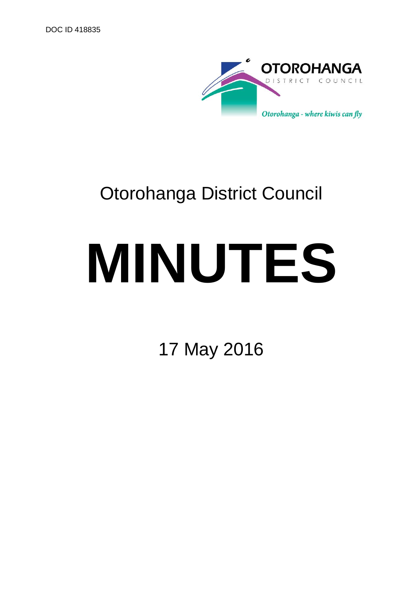

## Otorohanga District Council

# **MINUTES**

17 May 2016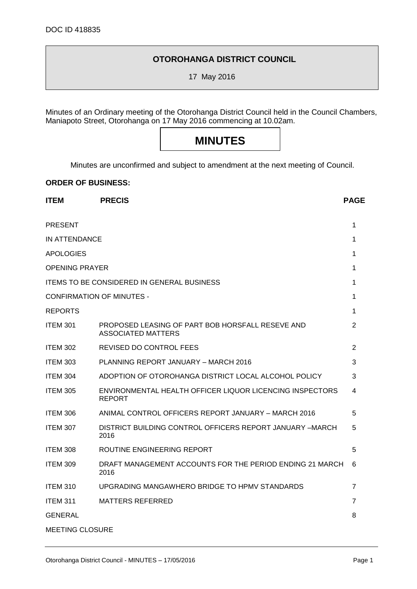#### **OTOROHANGA DISTRICT COUNCIL**

17 May 2016

Minutes of an Ordinary meeting of the Otorohanga District Council held in the Council Chambers, Maniapoto Street, Otorohanga on 17 May 2016 commencing at 10.02am.

### **MINUTES**

Minutes are unconfirmed and subject to amendment at the next meeting of Council.

**ITEM PRECIS PAGE**

#### **ORDER OF BUSINESS:**

| <b>PRESENT</b>                                    |                                                                               |                |
|---------------------------------------------------|-------------------------------------------------------------------------------|----------------|
| IN ATTENDANCE                                     |                                                                               |                |
| <b>APOLOGIES</b>                                  |                                                                               |                |
| <b>OPENING PRAYER</b>                             |                                                                               |                |
| <b>ITEMS TO BE CONSIDERED IN GENERAL BUSINESS</b> |                                                                               |                |
| CONFIRMATION OF MINUTES -                         |                                                                               |                |
| <b>REPORTS</b>                                    |                                                                               | 1              |
| <b>ITEM 301</b>                                   | PROPOSED LEASING OF PART BOB HORSFALL RESEVE AND<br><b>ASSOCIATED MATTERS</b> | $\overline{2}$ |
| <b>ITEM 302</b>                                   | REVISED DO CONTROL FEES                                                       | $\overline{2}$ |
| <b>ITEM 303</b>                                   | PLANNING REPORT JANUARY - MARCH 2016                                          | 3              |
| <b>ITEM 304</b>                                   | ADOPTION OF OTOROHANGA DISTRICT LOCAL ALCOHOL POLICY                          | 3              |
| <b>ITEM 305</b>                                   | ENVIRONMENTAL HEALTH OFFICER LIQUOR LICENCING INSPECTORS<br><b>REPORT</b>     | 4              |
| ITEM 306                                          | ANIMAL CONTROL OFFICERS REPORT JANUARY - MARCH 2016                           | 5              |
| <b>ITEM 307</b>                                   | DISTRICT BUILDING CONTROL OFFICERS REPORT JANUARY -MARCH<br>2016              | 5              |
| <b>ITEM 308</b>                                   | ROUTINE ENGINEERING REPORT                                                    | 5              |
| <b>ITEM 309</b>                                   | DRAFT MANAGEMENT ACCOUNTS FOR THE PERIOD ENDING 21 MARCH<br>2016              | 6              |
| <b>ITEM 310</b>                                   | UPGRADING MANGAWHERO BRIDGE TO HPMV STANDARDS                                 | $\overline{7}$ |
| <b>ITEM 311</b>                                   | <b>MATTERS REFERRED</b>                                                       | 7              |
| <b>GENERAL</b>                                    |                                                                               | 8              |
| MEETING CLOSURE                                   |                                                                               |                |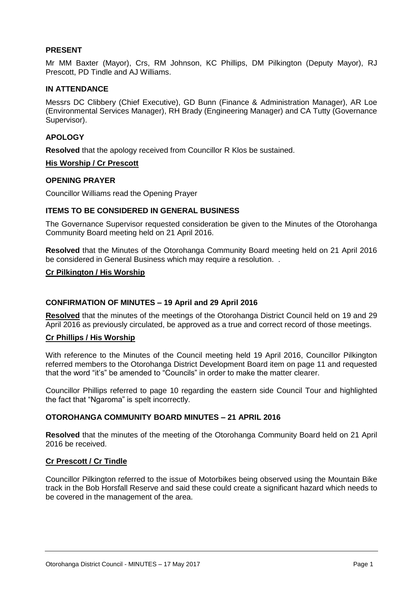#### **PRESENT**

Mr MM Baxter (Mayor), Crs, RM Johnson, KC Phillips, DM Pilkington (Deputy Mayor), RJ Prescott, PD Tindle and AJ Williams.

#### **IN ATTENDANCE**

Messrs DC Clibbery (Chief Executive), GD Bunn (Finance & Administration Manager), AR Loe (Environmental Services Manager), RH Brady (Engineering Manager) and CA Tutty (Governance Supervisor).

#### **APOLOGY**

**Resolved** that the apology received from Councillor R Klos be sustained.

#### **His Worship / Cr Prescott**

#### **OPENING PRAYER**

Councillor Williams read the Opening Prayer

#### **ITEMS TO BE CONSIDERED IN GENERAL BUSINESS**

The Governance Supervisor requested consideration be given to the Minutes of the Otorohanga Community Board meeting held on 21 April 2016.

**Resolved** that the Minutes of the Otorohanga Community Board meeting held on 21 April 2016 be considered in General Business which may require a resolution...

#### **Cr Pilkington / His Worship**

#### **CONFIRMATION OF MINUTES – 19 April and 29 April 2016**

**Resolved** that the minutes of the meetings of the Otorohanga District Council held on 19 and 29 April 2016 as previously circulated, be approved as a true and correct record of those meetings.

#### **Cr Phillips / His Worship**

With reference to the Minutes of the Council meeting held 19 April 2016, Councillor Pilkington referred members to the Otorohanga District Development Board item on page 11 and requested that the word "it's" be amended to "Councils" in order to make the matter clearer.

Councillor Phillips referred to page 10 regarding the eastern side Council Tour and highlighted the fact that "Ngaroma" is spelt incorrectly.

#### **OTOROHANGA COMMUNITY BOARD MINUTES – 21 APRIL 2016**

**Resolved** that the minutes of the meeting of the Otorohanga Community Board held on 21 April 2016 be received.

#### **Cr Prescott / Cr Tindle**

Councillor Pilkington referred to the issue of Motorbikes being observed using the Mountain Bike track in the Bob Horsfall Reserve and said these could create a significant hazard which needs to be covered in the management of the area.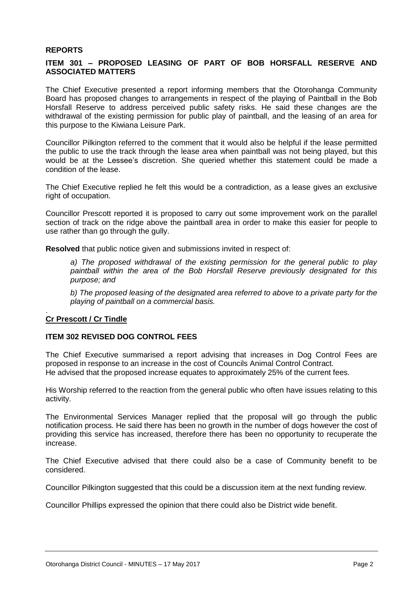#### **REPORTS**

#### **ITEM 301 – PROPOSED LEASING OF PART OF BOB HORSFALL RESERVE AND ASSOCIATED MATTERS**

The Chief Executive presented a report informing members that the Otorohanga Community Board has proposed changes to arrangements in respect of the playing of Paintball in the Bob Horsfall Reserve to address perceived public safety risks. He said these changes are the withdrawal of the existing permission for public play of paintball, and the leasing of an area for this purpose to the Kiwiana Leisure Park.

Councillor Pilkington referred to the comment that it would also be helpful if the lease permitted the public to use the track through the lease area when paintball was not being played, but this would be at the Lessee's discretion. She queried whether this statement could be made a condition of the lease.

The Chief Executive replied he felt this would be a contradiction, as a lease gives an exclusive right of occupation.

Councillor Prescott reported it is proposed to carry out some improvement work on the parallel section of track on the ridge above the paintball area in order to make this easier for people to use rather than go through the gully.

**Resolved** that public notice given and submissions invited in respect of:

*a) The proposed withdrawal of the existing permission for the general public to play paintball within the area of the Bob Horsfall Reserve previously designated for this purpose; and*

*b) The proposed leasing of the designated area referred to above to a private party for the playing of paintball on a commercial basis.*

#### **Cr Prescott / Cr Tindle**

.

#### **ITEM 302 REVISED DOG CONTROL FEES**

The Chief Executive summarised a report advising that increases in Dog Control Fees are proposed in response to an increase in the cost of Councils Animal Control Contract. He advised that the proposed increase equates to approximately 25% of the current fees.

His Worship referred to the reaction from the general public who often have issues relating to this activity.

The Environmental Services Manager replied that the proposal will go through the public notification process. He said there has been no growth in the number of dogs however the cost of providing this service has increased, therefore there has been no opportunity to recuperate the increase.

The Chief Executive advised that there could also be a case of Community benefit to be considered.

Councillor Pilkington suggested that this could be a discussion item at the next funding review.

Councillor Phillips expressed the opinion that there could also be District wide benefit.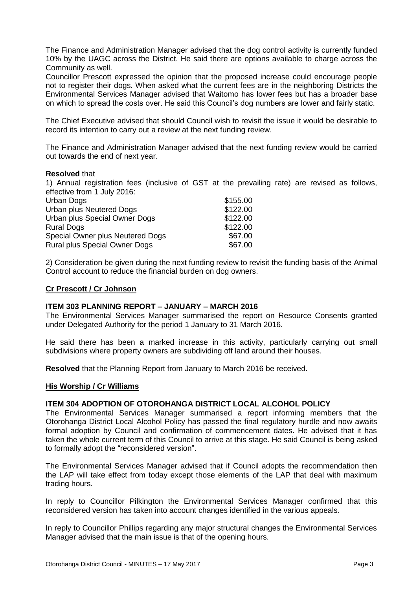The Finance and Administration Manager advised that the dog control activity is currently funded 10% by the UAGC across the District. He said there are options available to charge across the Community as well.

Councillor Prescott expressed the opinion that the proposed increase could encourage people not to register their dogs. When asked what the current fees are in the neighboring Districts the Environmental Services Manager advised that Waitomo has lower fees but has a broader base on which to spread the costs over. He said this Council's dog numbers are lower and fairly static.

The Chief Executive advised that should Council wish to revisit the issue it would be desirable to record its intention to carry out a review at the next funding review.

The Finance and Administration Manager advised that the next funding review would be carried out towards the end of next year.

#### **Resolved** that

1) Annual registration fees (inclusive of GST at the prevailing rate) are revised as follows, effective from 1 July 2016:

| Urban Dogs                           | \$155.00 |
|--------------------------------------|----------|
| Urban plus Neutered Dogs             | \$122.00 |
| Urban plus Special Owner Dogs        | \$122.00 |
| <b>Rural Dogs</b>                    | \$122.00 |
| Special Owner plus Neutered Dogs     | \$67.00  |
| <b>Rural plus Special Owner Dogs</b> | \$67.00  |

2) Consideration be given during the next funding review to revisit the funding basis of the Animal Control account to reduce the financial burden on dog owners.

#### **Cr Prescott / Cr Johnson**

#### **ITEM 303 PLANNING REPORT – JANUARY – MARCH 2016**

The Environmental Services Manager summarised the report on Resource Consents granted under Delegated Authority for the period 1 January to 31 March 2016.

He said there has been a marked increase in this activity, particularly carrying out small subdivisions where property owners are subdividing off land around their houses.

**Resolved** that the Planning Report from January to March 2016 be received.

#### **His Worship / Cr Williams**

#### **ITEM 304 ADOPTION OF OTOROHANGA DISTRICT LOCAL ALCOHOL POLICY**

The Environmental Services Manager summarised a report informing members that the Otorohanga District Local Alcohol Policy has passed the final regulatory hurdle and now awaits formal adoption by Council and confirmation of commencement dates. He advised that it has taken the whole current term of this Council to arrive at this stage. He said Council is being asked to formally adopt the "reconsidered version".

The Environmental Services Manager advised that if Council adopts the recommendation then the LAP will take effect from today except those elements of the LAP that deal with maximum trading hours.

In reply to Councillor Pilkington the Environmental Services Manager confirmed that this reconsidered version has taken into account changes identified in the various appeals.

In reply to Councillor Phillips regarding any major structural changes the Environmental Services Manager advised that the main issue is that of the opening hours.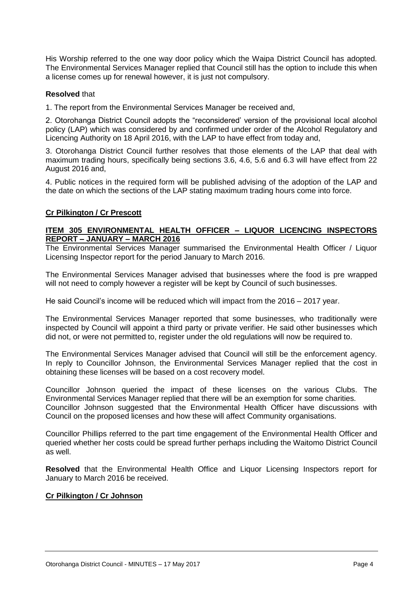His Worship referred to the one way door policy which the Waipa District Council has adopted. The Environmental Services Manager replied that Council still has the option to include this when a license comes up for renewal however, it is just not compulsory.

#### **Resolved** that

1. The report from the Environmental Services Manager be received and,

2. Otorohanga District Council adopts the "reconsidered' version of the provisional local alcohol policy (LAP) which was considered by and confirmed under order of the Alcohol Regulatory and Licencing Authority on 18 April 2016, with the LAP to have effect from today and,

3. Otorohanga District Council further resolves that those elements of the LAP that deal with maximum trading hours, specifically being sections 3.6, 4.6, 5.6 and 6.3 will have effect from 22 August 2016 and,

4. Public notices in the required form will be published advising of the adoption of the LAP and the date on which the sections of the LAP stating maximum trading hours come into force.

#### **Cr Pilkington / Cr Prescott**

#### **ITEM 305 ENVIRONMENTAL HEALTH OFFICER – LIQUOR LICENCING INSPECTORS REPORT – JANUARY – MARCH 2016**

The Environmental Services Manager summarised the Environmental Health Officer / Liquor Licensing Inspector report for the period January to March 2016.

The Environmental Services Manager advised that businesses where the food is pre wrapped will not need to comply however a register will be kept by Council of such businesses.

He said Council's income will be reduced which will impact from the 2016 – 2017 year.

The Environmental Services Manager reported that some businesses, who traditionally were inspected by Council will appoint a third party or private verifier. He said other businesses which did not, or were not permitted to, register under the old regulations will now be required to.

The Environmental Services Manager advised that Council will still be the enforcement agency. In reply to Councillor Johnson, the Environmental Services Manager replied that the cost in obtaining these licenses will be based on a cost recovery model.

Councillor Johnson queried the impact of these licenses on the various Clubs. The Environmental Services Manager replied that there will be an exemption for some charities. Councillor Johnson suggested that the Environmental Health Officer have discussions with Council on the proposed licenses and how these will affect Community organisations.

Councillor Phillips referred to the part time engagement of the Environmental Health Officer and queried whether her costs could be spread further perhaps including the Waitomo District Council as well.

**Resolved** that the Environmental Health Office and Liquor Licensing Inspectors report for January to March 2016 be received.

#### **Cr Pilkington / Cr Johnson**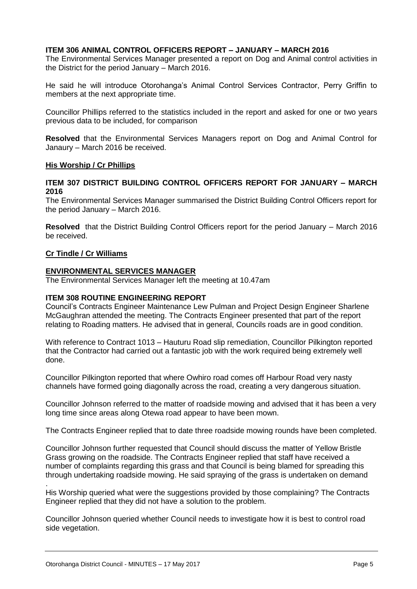#### **ITEM 306 ANIMAL CONTROL OFFICERS REPORT – JANUARY – MARCH 2016**

The Environmental Services Manager presented a report on Dog and Animal control activities in the District for the period January – March 2016.

He said he will introduce Otorohanga's Animal Control Services Contractor, Perry Griffin to members at the next appropriate time.

Councillor Phillips referred to the statistics included in the report and asked for one or two years previous data to be included, for comparison

**Resolved** that the Environmental Services Managers report on Dog and Animal Control for Janaury – March 2016 be received.

#### **His Worship / Cr Phillips**

#### **ITEM 307 DISTRICT BUILDING CONTROL OFFICERS REPORT FOR JANUARY – MARCH 2016**

The Environmental Services Manager summarised the District Building Control Officers report for the period January – March 2016.

**Resolved** that the District Building Control Officers report for the period January – March 2016 be received.

#### **Cr Tindle / Cr Williams**

.

#### **ENVIRONMENTAL SERVICES MANAGER**

The Environmental Services Manager left the meeting at 10.47am

#### **ITEM 308 ROUTINE ENGINEERING REPORT**

Council's Contracts Engineer Maintenance Lew Pulman and Project Design Engineer Sharlene McGaughran attended the meeting. The Contracts Engineer presented that part of the report relating to Roading matters. He advised that in general, Councils roads are in good condition.

With reference to Contract 1013 – Hauturu Road slip remediation, Councillor Pilkington reported that the Contractor had carried out a fantastic job with the work required being extremely well done.

Councillor Pilkington reported that where Owhiro road comes off Harbour Road very nasty channels have formed going diagonally across the road, creating a very dangerous situation.

Councillor Johnson referred to the matter of roadside mowing and advised that it has been a very long time since areas along Otewa road appear to have been mown.

The Contracts Engineer replied that to date three roadside mowing rounds have been completed.

Councillor Johnson further requested that Council should discuss the matter of Yellow Bristle Grass growing on the roadside. The Contracts Engineer replied that staff have received a number of complaints regarding this grass and that Council is being blamed for spreading this through undertaking roadside mowing. He said spraying of the grass is undertaken on demand

His Worship queried what were the suggestions provided by those complaining? The Contracts Engineer replied that they did not have a solution to the problem.

Councillor Johnson queried whether Council needs to investigate how it is best to control road side vegetation.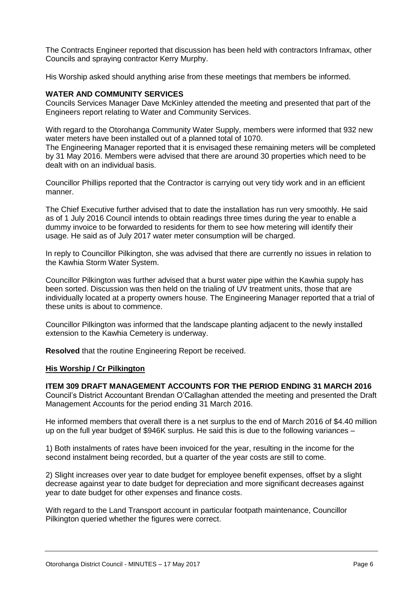The Contracts Engineer reported that discussion has been held with contractors Inframax, other Councils and spraying contractor Kerry Murphy.

His Worship asked should anything arise from these meetings that members be informed.

#### **WATER AND COMMUNITY SERVICES**

Councils Services Manager Dave McKinley attended the meeting and presented that part of the Engineers report relating to Water and Community Services.

With regard to the Otorohanga Community Water Supply, members were informed that 932 new water meters have been installed out of a planned total of 1070.

The Engineering Manager reported that it is envisaged these remaining meters will be completed by 31 May 2016. Members were advised that there are around 30 properties which need to be dealt with on an individual basis.

Councillor Phillips reported that the Contractor is carrying out very tidy work and in an efficient manner.

The Chief Executive further advised that to date the installation has run very smoothly. He said as of 1 July 2016 Council intends to obtain readings three times during the year to enable a dummy invoice to be forwarded to residents for them to see how metering will identify their usage. He said as of July 2017 water meter consumption will be charged.

In reply to Councillor Pilkington, she was advised that there are currently no issues in relation to the Kawhia Storm Water System.

Councillor Pilkington was further advised that a burst water pipe within the Kawhia supply has been sorted. Discussion was then held on the trialing of UV treatment units, those that are individually located at a property owners house. The Engineering Manager reported that a trial of these units is about to commence.

Councillor Pilkington was informed that the landscape planting adjacent to the newly installed extension to the Kawhia Cemetery is underway.

**Resolved** that the routine Engineering Report be received.

#### **His Worship / Cr Pilkington**

#### **ITEM 309 DRAFT MANAGEMENT ACCOUNTS FOR THE PERIOD ENDING 31 MARCH 2016**

Council's District Accountant Brendan O'Callaghan attended the meeting and presented the Draft Management Accounts for the period ending 31 March 2016.

He informed members that overall there is a net surplus to the end of March 2016 of \$4.40 million up on the full year budget of \$946K surplus. He said this is due to the following variances –

1) Both instalments of rates have been invoiced for the year, resulting in the income for the second instalment being recorded, but a quarter of the year costs are still to come.

2) Slight increases over year to date budget for employee benefit expenses, offset by a slight decrease against year to date budget for depreciation and more significant decreases against year to date budget for other expenses and finance costs.

With regard to the Land Transport account in particular footpath maintenance, Councillor Pilkington queried whether the figures were correct.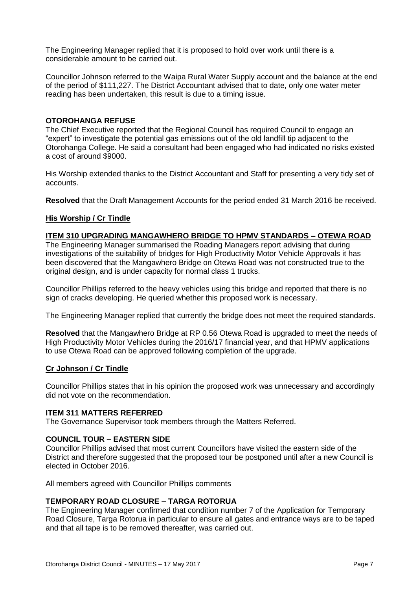The Engineering Manager replied that it is proposed to hold over work until there is a considerable amount to be carried out.

Councillor Johnson referred to the Waipa Rural Water Supply account and the balance at the end of the period of \$111,227. The District Accountant advised that to date, only one water meter reading has been undertaken, this result is due to a timing issue.

#### **OTOROHANGA REFUSE**

The Chief Executive reported that the Regional Council has required Council to engage an "expert" to investigate the potential gas emissions out of the old landfill tip adjacent to the Otorohanga College. He said a consultant had been engaged who had indicated no risks existed a cost of around \$9000.

His Worship extended thanks to the District Accountant and Staff for presenting a very tidy set of accounts.

**Resolved** that the Draft Management Accounts for the period ended 31 March 2016 be received.

#### **His Worship / Cr Tindle**

#### **ITEM 310 UPGRADING MANGAWHERO BRIDGE TO HPMV STANDARDS – OTEWA ROAD**

The Engineering Manager summarised the Roading Managers report advising that during investigations of the suitability of bridges for High Productivity Motor Vehicle Approvals it has been discovered that the Mangawhero Bridge on Otewa Road was not constructed true to the original design, and is under capacity for normal class 1 trucks.

Councillor Phillips referred to the heavy vehicles using this bridge and reported that there is no sign of cracks developing. He queried whether this proposed work is necessary.

The Engineering Manager replied that currently the bridge does not meet the required standards.

**Resolved** that the Mangawhero Bridge at RP 0.56 Otewa Road is upgraded to meet the needs of High Productivity Motor Vehicles during the 2016/17 financial year, and that HPMV applications to use Otewa Road can be approved following completion of the upgrade.

#### **Cr Johnson / Cr Tindle**

Councillor Phillips states that in his opinion the proposed work was unnecessary and accordingly did not vote on the recommendation.

#### **ITEM 311 MATTERS REFERRED**

The Governance Supervisor took members through the Matters Referred.

#### **COUNCIL TOUR – EASTERN SIDE**

Councillor Phillips advised that most current Councillors have visited the eastern side of the District and therefore suggested that the proposed tour be postponed until after a new Council is elected in October 2016.

All members agreed with Councillor Phillips comments

#### **TEMPORARY ROAD CLOSURE – TARGA ROTORUA**

The Engineering Manager confirmed that condition number 7 of the Application for Temporary Road Closure, Targa Rotorua in particular to ensure all gates and entrance ways are to be taped and that all tape is to be removed thereafter, was carried out.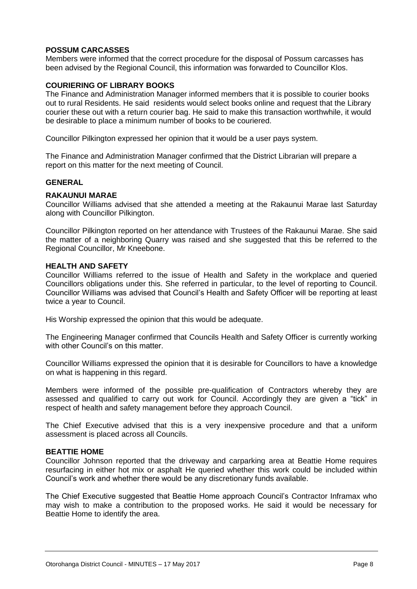#### **POSSUM CARCASSES**

Members were informed that the correct procedure for the disposal of Possum carcasses has been advised by the Regional Council, this information was forwarded to Councillor Klos.

#### **COURIERING OF LIBRARY BOOKS**

The Finance and Administration Manager informed members that it is possible to courier books out to rural Residents. He said residents would select books online and request that the Library courier these out with a return courier bag. He said to make this transaction worthwhile, it would be desirable to place a minimum number of books to be couriered.

Councillor Pilkington expressed her opinion that it would be a user pays system.

The Finance and Administration Manager confirmed that the District Librarian will prepare a report on this matter for the next meeting of Council.

#### **GENERAL**

#### **RAKAUNUI MARAE**

Councillor Williams advised that she attended a meeting at the Rakaunui Marae last Saturday along with Councillor Pilkington.

Councillor Pilkington reported on her attendance with Trustees of the Rakaunui Marae. She said the matter of a neighboring Quarry was raised and she suggested that this be referred to the Regional Councillor, Mr Kneebone.

#### **HEALTH AND SAFETY**

Councillor Williams referred to the issue of Health and Safety in the workplace and queried Councillors obligations under this. She referred in particular, to the level of reporting to Council. Councillor Williams was advised that Council's Health and Safety Officer will be reporting at least twice a year to Council.

His Worship expressed the opinion that this would be adequate.

The Engineering Manager confirmed that Councils Health and Safety Officer is currently working with other Council's on this matter.

Councillor Williams expressed the opinion that it is desirable for Councillors to have a knowledge on what is happening in this regard.

Members were informed of the possible pre-qualification of Contractors whereby they are assessed and qualified to carry out work for Council. Accordingly they are given a "tick" in respect of health and safety management before they approach Council.

The Chief Executive advised that this is a very inexpensive procedure and that a uniform assessment is placed across all Councils.

#### **BEATTIE HOME**

Councillor Johnson reported that the driveway and carparking area at Beattie Home requires resurfacing in either hot mix or asphalt He queried whether this work could be included within Council's work and whether there would be any discretionary funds available.

The Chief Executive suggested that Beattie Home approach Council's Contractor Inframax who may wish to make a contribution to the proposed works. He said it would be necessary for Beattie Home to identify the area.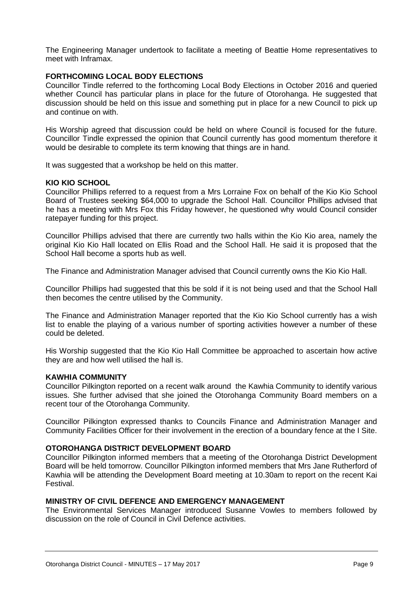The Engineering Manager undertook to facilitate a meeting of Beattie Home representatives to meet with Inframax.

#### **FORTHCOMING LOCAL BODY ELECTIONS**

Councillor Tindle referred to the forthcoming Local Body Elections in October 2016 and queried whether Council has particular plans in place for the future of Otorohanga. He suggested that discussion should be held on this issue and something put in place for a new Council to pick up and continue on with.

His Worship agreed that discussion could be held on where Council is focused for the future. Councillor Tindle expressed the opinion that Council currently has good momentum therefore it would be desirable to complete its term knowing that things are in hand.

It was suggested that a workshop be held on this matter.

#### **KIO KIO SCHOOL**

Councillor Phillips referred to a request from a Mrs Lorraine Fox on behalf of the Kio Kio School Board of Trustees seeking \$64,000 to upgrade the School Hall. Councillor Phillips advised that he has a meeting with Mrs Fox this Friday however, he questioned why would Council consider ratepayer funding for this project.

Councillor Phillips advised that there are currently two halls within the Kio Kio area, namely the original Kio Kio Hall located on Ellis Road and the School Hall. He said it is proposed that the School Hall become a sports hub as well.

The Finance and Administration Manager advised that Council currently owns the Kio Kio Hall.

Councillor Phillips had suggested that this be sold if it is not being used and that the School Hall then becomes the centre utilised by the Community.

The Finance and Administration Manager reported that the Kio Kio School currently has a wish list to enable the playing of a various number of sporting activities however a number of these could be deleted.

His Worship suggested that the Kio Kio Hall Committee be approached to ascertain how active they are and how well utilised the hall is.

#### **KAWHIA COMMUNITY**

Councillor Pilkington reported on a recent walk around the Kawhia Community to identify various issues. She further advised that she joined the Otorohanga Community Board members on a recent tour of the Otorohanga Community.

Councillor Pilkington expressed thanks to Councils Finance and Administration Manager and Community Facilities Officer for their involvement in the erection of a boundary fence at the I Site.

#### **OTOROHANGA DISTRICT DEVELOPMENT BOARD**

Councillor Pilkington informed members that a meeting of the Otorohanga District Development Board will be held tomorrow. Councillor Pilkington informed members that Mrs Jane Rutherford of Kawhia will be attending the Development Board meeting at 10.30am to report on the recent Kai Festival.

#### **MINISTRY OF CIVIL DEFENCE AND EMERGENCY MANAGEMENT**

The Environmental Services Manager introduced Susanne Vowles to members followed by discussion on the role of Council in Civil Defence activities.